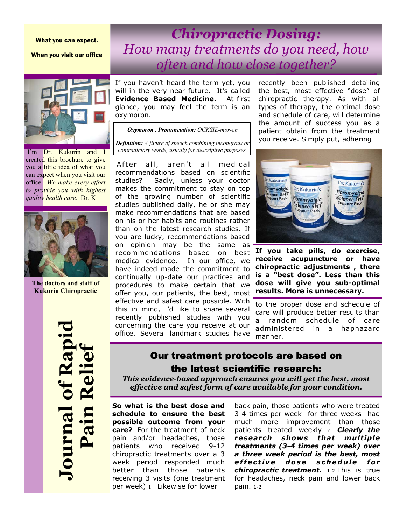#### What you can expect.

When you visit our office

I'm Dr. Kukurin and I<br>created this brochure to give created this blochure to give you a little idea of what you  $\frac{1}{x}$  can expect when you visit our office. We make every effort *to provide you with highest quality health care.* Dr. K I'm Dr. Kukurin and can expect when you visit our



**The doctors and staff of Kukurin Chiropractic** 

**Journal of Rapid Pain Relief Rull** 

*Chiropractic Dosing: How many treatments do you need, how often and how close together?* 

If you haven't heard the term yet, you will in the very near future. It's called **Evidence Based Medicine.** At first glance, you may feel the term is an oxymoron.

*Oxymoron , Pronunciation: OCKSIE-mor-on* 

*Definition: A figure of speech combining incongrous or contradictory words, usually for descriptive purposes.* 

After all, aren't all medical recommendations based on scientific studies? Sadly, unless your doctor makes the commitment to stay on top of the growing number of scientific studies published daily, he or she may make recommendations that are based on his or her habits and routines rather than on the latest research studies. If you are lucky, recommendations based on opinion may be the same as recommendations based on best medical evidence. In our office, we have indeed made the commitment to continually up-date our practices and procedures to make certain that we offer you, our patients, the best, most effective and safest care possible. With this in mind, I'd like to share several recently published studies with you concerning the care you receive at our office. Several landmark studies have

recently been published detailing the best, most effective "dose" of chiropractic therapy. As with all types of therapy, the optimal dose and schedule of care, will determine the amount of success you as a patient obtain from the treatment you receive. Simply put, adhering



**If you take pills, do exercise, receive acupuncture or have chiropractic adjustments , there is a "best dose". Less than this dose will give you sub-optimal results. More is unnecessary.** 

to the proper dose and schedule of care will produce better results than a random schedule of care administered in a haphazard manner.

# Our treatment protocols are based on the latest scientific research:

*This evidence-based approach ensures you will get the best, most effective and safest form of care available for your condition.* 

**So what is the best dose and schedule to ensure the best possible outcome from your care?** For the treatment of neck pain and/or headaches, those patients who received 9-12 chiropractic treatments over a 3 week period responded much better than those patients receiving 3 visits (one treatment per week) 1 Likewise for lower

back pain, those patients who were treated 3-4 times per week for three weeks had much more improvement than those patients treated weekly. 2 *Clearly the*  research shows that multiple *treatments (3-4 times per week) over a three week period is the best, most e f f e c t i v e d o s e s c h e d u l e f o r chiropractic treatment.* 1-2 This is true for headaches, neck pain and lower back pain. 1-2